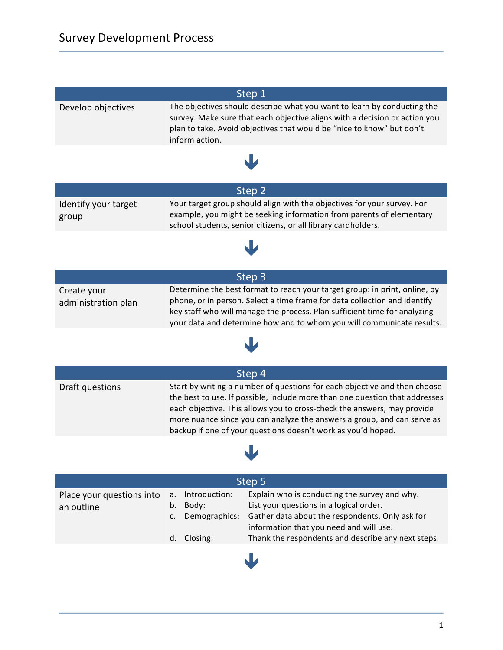| Step 1                             |                                                                                                                                                                                                                                                                                                                                                                                |  |  |  |
|------------------------------------|--------------------------------------------------------------------------------------------------------------------------------------------------------------------------------------------------------------------------------------------------------------------------------------------------------------------------------------------------------------------------------|--|--|--|
| Develop objectives                 | The objectives should describe what you want to learn by conducting the<br>survey. Make sure that each objective aligns with a decision or action you<br>plan to take. Avoid objectives that would be "nice to know" but don't<br>inform action.                                                                                                                               |  |  |  |
|                                    |                                                                                                                                                                                                                                                                                                                                                                                |  |  |  |
| Step 2                             |                                                                                                                                                                                                                                                                                                                                                                                |  |  |  |
| Identify your target<br>group      | Your target group should align with the objectives for your survey. For<br>example, you might be seeking information from parents of elementary<br>school students, senior citizens, or all library cardholders.                                                                                                                                                               |  |  |  |
|                                    |                                                                                                                                                                                                                                                                                                                                                                                |  |  |  |
|                                    | Step 3                                                                                                                                                                                                                                                                                                                                                                         |  |  |  |
| Create your<br>administration plan | Determine the best format to reach your target group: in print, online, by<br>phone, or in person. Select a time frame for data collection and identify<br>key staff who will manage the process. Plan sufficient time for analyzing<br>your data and determine how and to whom you will communicate results.                                                                  |  |  |  |
|                                    |                                                                                                                                                                                                                                                                                                                                                                                |  |  |  |
| Step 4                             |                                                                                                                                                                                                                                                                                                                                                                                |  |  |  |
| Draft questions                    | Start by writing a number of questions for each objective and then choose<br>the best to use. If possible, include more than one question that addresses<br>each objective. This allows you to cross-check the answers, may provide<br>more nuance since you can analyze the answers a group, and can serve as<br>backup if one of your questions doesn't work as you'd hoped. |  |  |  |
|                                    |                                                                                                                                                                                                                                                                                                                                                                                |  |  |  |

| Step 5                                  |                      |                        |                                                                                            |  |  |
|-----------------------------------------|----------------------|------------------------|--------------------------------------------------------------------------------------------|--|--|
| Place your questions into<br>an outline | $\mathsf{a}$ .<br>b. | Introduction:<br>Body: | Explain who is conducting the survey and why.<br>List your questions in a logical order.   |  |  |
|                                         | C.                   | Demographics:          | Gather data about the respondents. Only ask for<br>information that you need and will use. |  |  |
|                                         |                      | d. Closing:            | Thank the respondents and describe any next steps.                                         |  |  |

ê